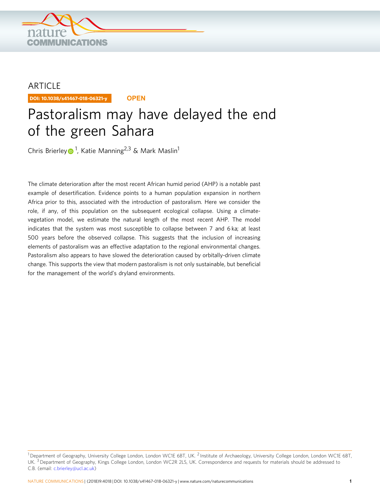

# ARTICLE

DOI: 10.1038/s41467-018-06321-y **OPEN**

# Pastoralism may have delayed the end of the green Sahara

Chris Brierle[y](http://orcid.org/0000-0002-9195-6731) <sup>[1](http://orcid.org/0000-0002-9195-6731)</sup>, Katie Manning<sup>2,3</sup> & Mark Maslin<sup>1</sup>

The climate deterioration after the most recent African humid period (AHP) is a notable past example of desertification. Evidence points to a human population expansion in northern Africa prior to this, associated with the introduction of pastoralism. Here we consider the role, if any, of this population on the subsequent ecological collapse. Using a climatevegetation model, we estimate the natural length of the most recent AHP. The model indicates that the system was most susceptible to collapse between 7 and 6 ka; at least 500 years before the observed collapse. This suggests that the inclusion of increasing elements of pastoralism was an effective adaptation to the regional environmental changes. Pastoralism also appears to have slowed the deterioration caused by orbitally-driven climate change. This supports the view that modern pastoralism is not only sustainable, but beneficial for the management of the world's dryland environments.

<sup>&</sup>lt;sup>1</sup> Department of Geography, University College London, London WC1E 6BT, UK. <sup>2</sup> Institute of Archaeology, University College London, London WC1E 6BT, UK.<sup>3</sup> Department of Geography, Kings College London, London WC2R 2LS, UK. Correspondence and requests for materials should be addressed to C.B. (email: [c.brierley@ucl.ac.uk\)](mailto:c.brierley@ucl.ac.uk)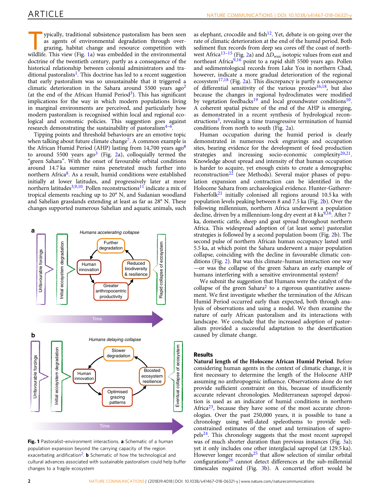<span id="page-1-0"></span>vpically, traditional subsistence pastoralism has been seen as agents of environmental degradation through overgrazing, habitat change and resource competition with wildlife. This view (Fig. 1a) was embedded in the environmental doctrine of the twentieth century, partly as a consequence of the historical relationship between colonial administrators and tra-ditional pastoralists<sup>[1](#page-7-0)</sup>. This doctrine has led to a recent suggestion that early pastoralism was so unsustainable that it triggered a climatic deterioration in the Sahara around 5500 years  $a\alpha^2$  $a\alpha^2$ (at the end of the African Humid Period<sup>3</sup>). This has significant implications for the way in which modern populations living in marginal environments are perceived, and particularly how modern pastoralism is recognised within local and regional ecological and economic policies. This suggestion goes against research demonstrating the sustainability of pastoralism $4-6$  $4-6$ .

Tipping points and threshold behaviours are an emotive topic when talking about future climate change<sup>7</sup>. A common example is the African Humid Period (AHP) lasting from 14,700 years  $ago<sup>8</sup>$  $ago<sup>8</sup>$  $ago<sup>8</sup>$ to around 5500 years ago<sup>[3](#page-7-0)</sup> (Fig. [2a](#page-2-0)), colloquially termed the "green Sahara". With the onset of favourable orbital conditions around 14.7 ka summer rains penetrated much further into northern Africa<sup>[8](#page-7-0)</sup>. As a result, humid conditions were established initially at lower latitudes, and progressively later at more northern latitudes<sup>[3](#page-7-0),[9,10](#page-7-0)</sup>. Pollen reconstructions<sup>[11](#page-7-0)</sup> indicate a mix of tropical elements reaching up to 20° N, and Sudanian woodland and Sahelian grasslands extending at least as far as 28° N. These changes supported numerous Sahelian and aquatic animals, such



Fig. 1 Pastoralist-environment interactions. a Schematic of a human population expansion beyond the carrying capacity of the region exacerbating aridification<sup>2</sup>. **b** Schematic of how the technological and cultural advances associated with sustainable pastoralism could help buffer changes to a fragile ecosystem

as elephant, crocodile and fish<sup>12</sup>. Yet, debate is on-going over the rate of climatic deterioration at the end of the humid period. Both sediment flux records from deep sea cores off the coast of north-west Africa<sup>[13](#page-7-0)–[15](#page-7-0)</sup> (Fig. [2](#page-2-0)a) and  $\Delta D_{\text{max}}$  isotopic values from east and northeast Africa $9,16$  $9,16$  $9,16$  point to a rapid shift 5500 years ago. Pollen and sedimentological records from Lake Yoa in northern Chad, however, indicate a more gradual deterioration of the regional ecosystem $^{17,18}$  $^{17,18}$  $^{17,18}$  $^{17,18}$  $^{17,18}$  (Fig. [2](#page-2-0)a). This discrepancy is partly a consequence of differential sensitivity of the various proxies<sup>16,18</sup>, but also because the changes in regional hydroclimates were modified by vegetation feedbacks<sup>[19](#page-7-0)</sup> and local groundwater conditions<sup>10</sup>. A coherent spatial picture of the end of the AHP is emerging, as demonstrated in a recent synthesis of hydrological reconstructions<sup>3</sup>, revealing a time transgressive termination of humid conditions from north to south (Fig. [2](#page-2-0)a).

Human occupation during the humid period is clearly demonstrated in numerous rock engravings and occupation sites, bearing evidence for the development of food production strategies and increasing socio-economic complexity $20,21$ . Knowledge about spread and intensity of that human occupation is harder to acquire, yet enough exists to create a demographic reconstruction<sup>[22](#page-7-0)</sup> (see Methods). Several major phases of population expansion and contraction can be identified in the Holocene Sahara from archaeological evidence. Hunter-Gatherer-Fisherfolk<sup>[21](#page-7-0)</sup> initially colonised all regions around 10.5 ka with population levels peaking between 8 and 7.5 ka (Fig. [2](#page-2-0)b). Over the following millennium, northern Africa underwent a population decline, driven by a millennium-long dry event at  $8 \text{ ka}^{9,16}$  $8 \text{ ka}^{9,16}$  $8 \text{ ka}^{9,16}$  $8 \text{ ka}^{9,16}$  $8 \text{ ka}^{9,16}$ . After 7 ka, domestic cattle, sheep and goat spread throughout northern Africa. This widespread adoption of (at least some) pastoralist strategies is followed by a second population boom (Fig. [2](#page-2-0)b). The second pulse of northern African human occupancy lasted until 5.5 ka, at which point the Sahara underwent a major population collapse, coinciding with the decline in favourable climatic conditions (Fig. [2\)](#page-2-0). But was this climate–human interaction one way —or was the collapse of the green Sahara an early example of humans interfering with a sensitive environmental system?

We submit the suggestion that Humans were the catalyst of the collapse of the green Sahara<sup>[2](#page-7-0)</sup> to a rigorous quantitative assessment. We first investigate whether the termination of the African Humid Period occurred early than expected, both through analysis of observations and using a model. We then examine the nature of early African pastoralism and its interactions with landscape. We conclude that the increased adoption of pastoralism provided a successful adaptation to the desertification caused by climate change.

## Results

Natural length of the Holocene African Humid Period. Before considering human agents in the context of climatic change, it is first necessary to determine the length of the Holocene AHP assuming no anthropogenic influence. Observations alone do not provide sufficient constraint on this, because of insufficiently accurate relevant chronologies. Mediterranean sapropel deposition is used as an indicator of humid conditions in northern Africa<sup>[23](#page-7-0)</sup>, because they have some of the most accurate chronologies. Over the past 250,000 years, it is possible to tune a chronology using well-dated speleothems to provide wellconstrained estimates of the onset and termination of sapro $pels<sup>24</sup>$ . This chronology suggests that the most recent sapropel was of much shorter duration than previous instances (Fig. [3](#page-3-0)a); yet it only includes one other interglacial sapropel (at 129.5 ka). However longer records $25$  that allow selection of similar orbital configurations[26](#page-8-0) cannot detect differences at the sub-millennial timescales required (Fig. [3](#page-3-0)b). A concerted effort would be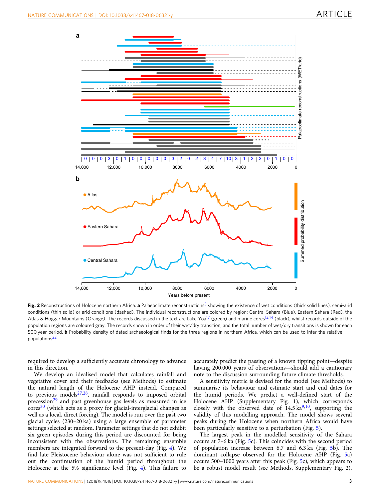<span id="page-2-0"></span>

Fig. 2 Reconstructions of Holocene northern Africa. a Palaeoclimate reconstructions<sup>3</sup> showing the existence of wet conditions (thick solid lines), semi-arid conditions (thin solid) or arid conditions (dashed). The individual reconstructions are colored by region: Central Sahara (Blue), Eastern Sahara (Red), the Atlas & Hoggar Mountains (Orange). The records discussed in the text are Lake Yoa<sup>17</sup> (green) and marine cores<sup>13,14</sup> (black), whilst records outside of the population regions are coloured gray. The records shown in order of their wet/dry transition, and the total number of wet/dry transitions is shown for each 500 year period. **b** Probability density of dated archaeological finds for the three regions in northern Africa, which can be used to infer the relative populations[22](#page-7-0)

required to develop a sufficiently accurate chronology to advance in this direction.

We develop an idealised model that calculates rainfall and vegetative cover and their feedbacks (see Methods) to estimate the natural length of the Holocene AHP instead. Compared to previous models $27,28$ , rainfall responds to imposed orbital precession<sup>[29](#page-8-0)</sup> and past greenhouse gas levels as measured in ice  $\text{cores}^{30}$  $\text{cores}^{30}$  $\text{cores}^{30}$  (which acts as a proxy for glacial-interglacial changes as well as a local, direct forcing). The model is run over the past two glacial cycles (230–20 ka) using a large ensemble of parameter settings selected at random. Parameter settings that do not exhibit six green episodes during this period are discounted for being inconsistent with the observations. The remaining ensemble members are integrated forward to the present-day (Fig. [4\)](#page-4-0). We find late Pleistocene behaviour alone was not sufficient to rule out the continuation of the humid period throughout the Holocene at the 5% significance level (Fig. [4](#page-4-0)). This failure to

accurately predict the passing of a known tipping point—despite having 200,000 years of observations—should add a cautionary note to the discussion surrounding future climate thresholds.

A sensitivity metric is devised for the model (see Methods) to summarise its behaviour and estimate start and end dates for the humid periods. We predict a well-defined start of the Holocene AHP (Supplementary Fig. 1), which corresponds closely with the observed date of  $14.5 \text{ ka}^{9,10}$ , supporting the validity of this modelling approach. The model shows several peaks during the Holocene when northern Africa would have been particularly sensitive to a perturbation (Fig. [5\)](#page-5-0).

The largest peak in the modelled sensitivity of the Sahara occurs at 7–6 ka (Fig. [5](#page-5-0)c). This coincides with the second period of population increase between 6.7 and 6.3 ka (Fig. [5b](#page-5-0)). The dominant collapse observed for the Holocene AHP (Fig. [5](#page-5-0)a) occurs 500–1000 years after this peak (Fig. [5](#page-5-0)c), which appears to be a robust model result (see Methods, Supplementary Fig. 2).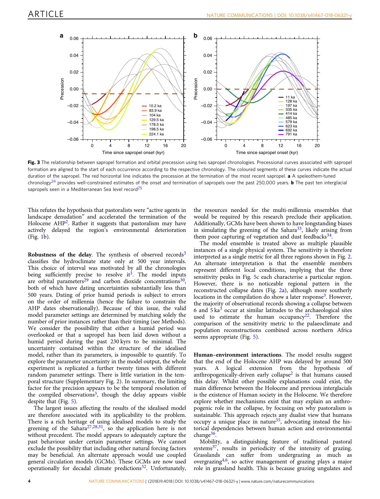<span id="page-3-0"></span>

Fig. 3 The relationship between sapropel formation and orbital precession using two sapropel chronologies. Precessional curves associated with sapropel formation are aligned to the start of each occurrence according to the respective chronology. The coloured segments of these curves indicate the actual duration of the sapropel. The red horizontal line indicates the precession at the termination of the most recent sapropel. a A speleothem-tuned chronology<sup>[24](#page-8-0)</sup> provides well-constrained estimates of the onset and termination of sapropels over the past 250,000 years. **b** The past ten interglacial sapropels seen in a Mediterranean Sea level record<sup>[25](#page-8-0)</sup>

This refutes the hypothesis that pastoralists were "active agents in landscape denudation" and accelerated the termination of the Holocene  $AHP<sup>2</sup>$  $AHP<sup>2</sup>$  $AHP<sup>2</sup>$ . Rather it suggests that pastoralism may have actively delayed the region's environmental deterioration (Fig. [1](#page-1-0)b).

Robustness of the delay. The synthesis of observed records $3$ classifies the hydroclimate state only at 500 year intervals. This choice of interval was motivated by all the chronologies being sufficiently precise to resolve it<sup>[3](#page-7-0)</sup>. The model inputs are orbital parameters<sup>[29](#page-8-0)</sup> and carbon dioxide concentrations<sup>30</sup>, both of which have dating uncertainties substantially less than 500 years. Dating of prior humid periods is subject to errors on the order of millennia (hence the failure to constrain the AHP dates observationally). Because of this issue, the valid model parameter settings are determined by matching solely the number of prior instances rather than their timing (see Methods). We consider the possibility that either a humid period was overlooked or that a sapropel has been laid down without a humid period during the past 230 kyrs to be minimal. The uncertainty contained within the structure of the idealised model, rather than its parameters, is impossible to quantify. To explore the parameter uncertainty in the model output, the whole experiment is replicated a further twenty times with different random parameter settings. There is little variation in the temporal structure (Supplementary Fig. 2). In summary, the limiting factor for the precision appears to be the temporal resolution of the compiled observations<sup>3</sup>, though the delay appears visible despite that (Fig. [5\)](#page-5-0).

The largest issues affecting the results of the idealised model are therefore associated with its applicability to the problem. There is a rich heritage of using idealised models to study the greening of the Sahara<sup>27,28,31</sup>, so the application here is not without precedent. The model appears to adequately capture the past behaviour under certain parameter settings. We cannot exclude the possibility that including other natural forcing factors may be beneficial. An alternate approach would use coupled general circulation models (GCMs). These GCMs are now used operationally for decadal climate predictions $32$ . Unfortunately,

the resources needed for the multi-millennia ensembles that would be required by this research preclude their application. Additionally, GCMs have been shown to have longstanding biases in simulating the greening of the Sahara<sup>33</sup>, likely arising from them poor capturing of vegetation and dust feedbacks $34$ .

The model ensemble is treated above as multiple plausible instances of a single physical system. The sensitivity is therefore interpreted as a single metric for all three regions shown in Fig. [2.](#page-2-0) An alternate interpretation is that the ensemble members represent different local conditions, implying that the three sensitivity peaks in Fig. [5](#page-5-0)c each characterise a particular region. However, there is no noticeable regional pattern in the reconstructed collapse dates (Fig. [2a](#page-2-0)), although more southerly locations in the compilation do show a later response<sup>3</sup>. However, the majority of observational records showing a collapse between 6 and  $5 \text{ ka}^3$  $5 \text{ ka}^3$  occur at similar latitudes to the archaeological sites used to estimate the human occupancy<sup>[22](#page-7-0)</sup>. Therefore the comparison of the sensitivity metric to the palaeoclimate and population reconstructions combined across northern Africa seems appropriate (Fig. [5](#page-5-0)).

Human–environment interactions. The model results suggest that the end of the Holocene AHP was delayed by around 500 years. A logical extension from the hypothesis of anthropogenically-driven early collapse<sup>2</sup> is that humans caused this delay. Whilst other possible explanations could exist, the main difference between the Holocene and previous interglacials is the existence of Human society in the Holocene. We therefore explore whether mechanisms exist that may explain an anthropogenic role in the collapse, by focusing on why pastoralism is sustainable. This approach rejects any dualist view that humans occupy a unique place in nature $35$ , advocating instead the historical dependencies between human action and environmental change<sup>[36](#page-8-0)</sup>.

Mobility, a distinguishing feature of traditional pastoral systems $37$ , results in periodicity of the intensity of grazing. Grasslands can suffer from undergrazing as much as overgrazing<sup>4,6</sup>, so active management of grazing plays a major role in grassland health. This is because grazing ungulates and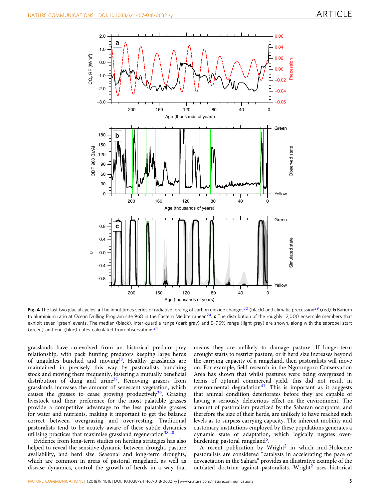<span id="page-4-0"></span>

Fig. 4 The last two glacial cycles. a The input times series of radiative forcing of carbon dioxide changes<sup>[30](#page-8-0)</sup> (black) and climatic precession<sup>[29](#page-8-0)</sup> (red). b Barium to aluminium ratio at Ocean Drilling Program site 968 in the Eastern Mediterranean<sup>24</sup>.  $\mathbf c$  The distribution of the roughly 12,000 ensemble members that exhibit seven 'green' events. The median (black), inter-quartile range (dark gray) and 5–95% range (light gray) are shown, along with the sapropel start (green) and end (blue) dates calculated from observations $^{24}$ 

grasslands have co-evolved from an historical predator-prey relationship, with pack hunting predators keeping large herds of ungulates bunched and moving<sup>38</sup>. Healthy grasslands are maintained in precisely this way by pastoralists bunching stock and moving them frequently, fostering a mutually beneficial distribution of dung and urine $37$ . Removing grazers from grasslands increases the amount of senescent vegetation, which causes the grasses to cease growing productively<sup>[39](#page-8-0)</sup>. Grazing livestock and their preference for the most palatable grasses provide a competitive advantage to the less palatable grasses for water and nutrients, making it important to get the balance correct between overgrazing and over-resting. Traditional pastoralists tend to be acutely aware of these subtle dynamics utilising practices that maximise grassland regeneration $38,40$  $38,40$  $38,40$ .

Evidence from long-term studies on herding strategies has also helped to reveal the sensitive dynamic between drought, pasture availability, and herd size. Seasonal and long-term droughts, which are common in areas of pastoral rangeland, as well as disease dynamics, control the growth of herds in a way that means they are unlikely to damage pasture. If longer-term drought starts to restrict pasture, or if herd size increases beyond the carrying capacity of a rangeland, then pastoralists will move on. For example, field research in the Ngorongoro Conservation Area has shown that whilst pastures were being overgrazed in terms of optimal commercial yield, this did not result in environmental degradation<sup>[41](#page-8-0)</sup>. This is important as it suggests that animal condition deteriorates before they are capable of having a seriously deleterious effect on the environment. The amount of pastoralism practiced by the Saharan occupants, and therefore the size of their herds, are unlikely to have reached such levels as to surpass carrying capacity. The inherent mobility and customary institutions employed by these populations generates a dynamic state of adaptation, which logically negates over-burdening pastoral rangeland<sup>[5](#page-7-0)</sup>.

A recent publication by Wright<sup>[2](#page-7-0)</sup> in which mid-Holocene pastoralists are considered "catalysts in accelerating the pace of devegetation in the Sahara" provides an illustrative example of the outdated doctrine against pastoralists. Wright<sup>[2](#page-7-0)</sup> uses historical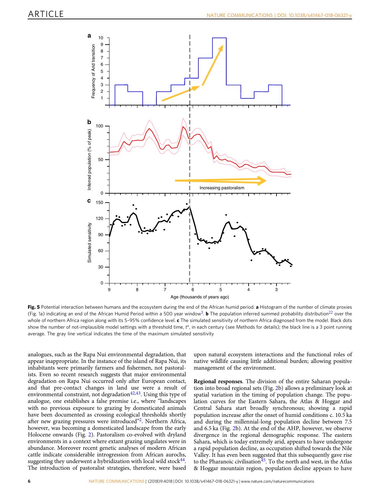<span id="page-5-0"></span>

Fig. 5 Potential interaction between humans and the ecosystem during the end of the African humid period. a Histogram of the number of climate proxies (Fig. [1](#page-1-0)a) indicating an end of the African Humid Period within a 500 year window<sup>3</sup>. **b** The population inferred summed probability distribution<sup>22</sup> over the whole of northern Africa region along with its 5-95% confidence level.  $c$  The simulated sensitivity of northern Africa diagnosed from the model. Black dots show the number of not-implausible model settings with a threshold time, t\*, in each century (see Methods for details); the black line is a 3 point running average. The gray line vertical indicates the time of the maximum simulated sensitivity

analogues, such as the Rapa Nui environmental degradation, that appear inappropriate. In the instance of the island of Rapa Nui, its inhabitants were primarily farmers and fishermen, not pastoralists. Even so recent research suggests that major environmental degradation on Rapa Nui occurred only after European contact, and that pre-contact changes in land use were a result of environmental constraint, not degradation $42,43$ . Using this type of analogue, one establishes a false premise i.e., where "landscapes with no previous exposure to grazing by domesticated animals have been documented as crossing ecological thresholds shortly after new grazing pressures were introduced"<sup>[2](#page-7-0)</sup>. Northern Africa, however, was becoming a domesticated landscape from the early Holocene onwards (Fig. [2\)](#page-2-0). Pastoralism co-evolved with dryland environments in a context where extant grazing ungulates were in abundance. Moreover recent genetic analyses of modern African cattle indicate considerable introgression from African aurochs, suggesting they underwent a hybridization with local wild stock<sup>44</sup>. The introduction of pastoralist strategies, therefore, were based

upon natural ecosystem interactions and the functional roles of native wildlife causing little additional burden; allowing positive management of the environment.

Regional responses. The division of the entire Saharan population into broad regional sets (Fig. [2](#page-2-0)b) allows a preliminary look at spatial variation in the timing of population change. The population curves for the Eastern Sahara, the Atlas & Hoggar and Central Sahara start broadly synchronous; showing a rapid population increase after the onset of humid conditions c. 10.5 ka and during the millennial-long population decline between 7.5 and 6.5 ka (Fig. [2](#page-2-0)b). At the end of the AHP, however, we observe divergence in the regional demographic response. The eastern Sahara, which is today extremely arid, appears to have undergone a rapid population decline, as occupation shifted towards the Nile Valley. It has even been suggested that this subsequently gave rise to the Pharanoic civilisation $45$ . To the north and west, in the Atlas & Hoggar mountain region, population decline appears to have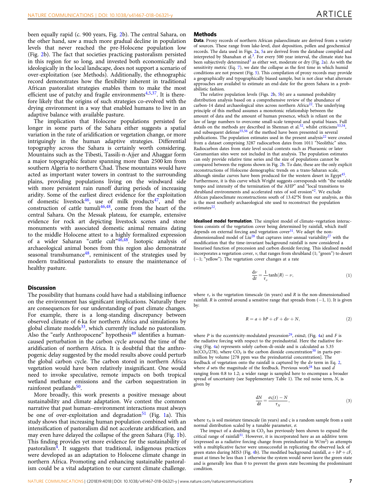<span id="page-6-0"></span>been equally rapid (c. 900 years, Fig. [2b](#page-2-0)). The central Sahara, on the other hand, saw a much more gradual decline in population levels that never reached the pre-Holocene population low (Fig. [2b](#page-2-0)). The fact that societies practicing pastoralism persisted in this region for so long, and invested both economically and ideologically in the local landscape, does not support a scenario of over-exploitation (see Methods). Additionally, the ethnographic record demonstrates how the flexibility inherent in traditional African pastoralist strategies enables them to make the most efficient use of patchy and fragile environments $4,5,37$  $4,5,37$  $4,5,37$  $4,5,37$ . It is therefore likely that the origins of such strategies co-evolved with the drying environment in a way that enabled humans to live in an adaptive balance with available pasture.

The implication that Holocene populations persisted for longer in some parts of the Sahara either suggests a spatial variation in the rate of aridification or vegetation change, or more intriguingly in the human adaptive strategies. Differential topography across the Sahara is certainly worth considering. Mountains such as the Tibesti, Tassili-n-Ajjer and Ahaggar form a major topographic feature spanning more than 2500 km from southern Algeria to northern Chad. These mountains would have acted as important water towers in contrast to the surrounding plains, providing populations living on the windward side with more persistent rain runoff during periods of increasing aridity. Some of the earliest direct evidence for the exploitation of domestic livestock<sup>46</sup>, use of milk products<sup>47</sup>, and the construction of cattle tumuli<sup>[46,48](#page-8-0)</sup>, come from the heart of the central Sahara. On the Messak plateau, for example, extensive evidence for rock art depicting livestock scenes and stone monuments with associated domestic animal remains dating to the middle Holocene attest to a highly formalized expression of a wider Saharan "cattle cult"[46,48.](#page-8-0) Isotopic analysis of archaeological animal bones from this region also demonstrate seasonal transhumance $48$ , reminiscent of the strategies used by modern traditional pastoralists to ensure the maintenance of healthy pasture.

### **Discussion**

The possibility that humans could have had a stabilising influence on the environment has significant implications. Naturally there are consequences for our understanding of past climate changes. For example, there is a long-standing discrepancy between observed climate of 6 ka for northern Africa and simulations by global climate models $33$ , which currently include no pastoralism. Also the "early Anthropocene" hypothesis<sup>[49](#page-8-0)</sup> identifies a humancaused perturbation in the carbon cycle around the time of the aridification of northern Africa. It is doubtful that the anthropogenic delay suggested by the model results above could perturb the global carbon cycle. The carbon stored in northern Africa vegetation would have been relatively insignificant. One would need to invoke speculative, remote impacts on both tropical wetland methane emissions and the carbon sequestration in rainforest peatlands<sup>[50](#page-8-0)</sup>.

More broadly, this work presents a positive message about sustainability and climate adaptation. We contest the common narrative that past human–environment interactions must always be one of over-exploitation and degradation<sup>[51](#page-8-0)</sup> (Fig. [1a](#page-1-0)). This study shows that increasing human population combined with an intensification of pastoralism did not accelerate aridification, and may even have delayed the collapse of the green Sahara (Fig. [1b](#page-1-0)). This finding provides yet more evidence for the sustainability of pastoralism $4$ . It suggests that traditional, indigenous practices were developed as an adaptation to Holocene climate change in northern Africa. Promoting and enhancing sustainable pastoralism could be a vital adaptation to our current climate challenge.

#### **Methods**

Data. Proxy records of northern African palaeoclimate are derived from a variety of sources. These range from lake-level, dust deposition, pollen and geochemical records. The data used in Figs. [2](#page-2-0)a, [5a](#page-5-0) are derived from the database compiled and interpreted by Shanahan et al.<sup>[3](#page-7-0)</sup>. For every 500 year interval, the climate state has been subjectively determined<sup>[3](#page-7-0)</sup> as either wet, moderate or dry (Fig. [2](#page-2-0)a). As with the sensitivity metric (Eq. [7\)](#page-7-0), we date the collapse as the first time in which humid conditions are not present (Fig. [5](#page-5-0)). This compilation of proxy records may provide a geographically and typographically biased sample, but is not clear what alternate approaches are availabel to estimate an end-date for the green Sahara in a probabilistic fashion.

The relative population levels (Figs. [2b](#page-2-0), [5](#page-5-0)b) are a summed probability distribution analysis based on a comprehensive review of the abundance of carbon-14 dated archaeological sites across northern Africa<sup>22</sup>. The underlying principle of this method assumes a monotonic relationship between the amount of data and the amount of human presence, which is reliant on the law of large numbers to overcome small-scale temporal and spatial biases. Full details on the methods are described in Shennan et al.<sup>[52](#page-8-0)</sup>, whilst criticisms<sup>53,54</sup>, and subsequent defense<sup>[55,56](#page-8-0)</sup> of the method have been presented in several publications. The population estimates used in the present analysis $22$  were created from a dataset comprising 3287 radiocarbon dates from 1011 "Neolithic" sites. Radiocarbon dates from state level social contexts such as Pharaonic or later Garamantian sites were not included in that analysis. The population estimates can only provide relative time series and the size of populations cannot be compared between the regions shown in Fig. [2](#page-2-0)b. To date, these are the only explicit reconstructions of Holocene demographic trends on a trans-Saharan scale, although similar curves have been produced for the western desert in Egypt<sup>45</sup>. Furthermore, it is this curve which Wright suggests corresponds with "the variable tempo and intensity of the termination of the AHP" and "local transitions to shrubland environments and accelerated rates of soil erosion"<sup>2</sup>. We exclude African palaeoclimate reconstructions south of 13.42°N from our analysis, as this is the most southerly archaeological site used to reconstruct the population estimates<sup>22</sup>

Idealised model formulation. The simplest model of climate-vegetation interactions consists of the vegetation cover being determined by rainfall, which itself depends on external forcing and vegetation cover<sup>31</sup>. We adapt the nondimensionalised model of  $\text{Liu}^{28}$  $\text{Liu}^{28}$  $\text{Liu}^{28}$  that captures inter-annual variability<sup>[27](#page-8-0)</sup> with the modification that the time-invariant background rainfall is now considered a linearised function of precession and carbon dioxide forcing. This idealised model incorporates a vegetation cover, v, that ranges from shrubland (1; "green") to desert (−1; "yellow"). The vegetation cover changes at a rate

$$
\frac{d\nu}{dt} = \frac{1}{\tau_{\nu}} \tanh(R) - \nu,
$$
\n(1)

where  $\tau_v$  is the vegetation timescale (in years) and R is the non-dimensionalised rainfall. R is centred around a sensitive range that spreads from  $(-1, 1)$ . It is given by:

$$
R = a + bP + cF + d\nu + N,\t\t(2)
$$

where P is the eccentricity-modulated precession<sup>29</sup>,  $\varepsilon$ sin $\omega$ , (Fig. [4](#page-4-0)a) and F is the radiative forcing with respect to the preindustrial. Here the radiative forcing (Fig. [4](#page-4-0)a) represents solely carbon-di-oxide and is calculated as 5.35  $ln(CO_2/278)$ , where  $CO_2$  is the carbon dioxide concentration<sup>[30](#page-8-0)</sup> in parts-permillion by volume [278 ppm was the preindustrial concentration]. The feedback of vegetation onto the rainfall is captured by the dv term in Eq. 2, where d sets the magnitude of the feedback. Previous work<sup>[28](#page-8-0)</sup> has used  $\overrightarrow{d}$ ranging from 0.8 to 1.2; a wider range is sampled here to encompass a broader spread of uncertainty (see Supplementary Table 1). The red noise term, N, is given by

$$
\frac{dN}{dt} = \frac{\sigma \varsigma(t) - N}{\tau_N},\tag{3}
$$

where  $\tau_N$  is soil moisture timescale (in years) and  $\zeta$  is a random sample from a unit normal distribution scaled by a tunable parameter, σ.

The impact of a doubling in  $CO<sub>2</sub>$  has previously been shown to expand the critical range of rainfall<sup>31</sup>. However, it is incorporated here as an additive term (expressed as a radiative forcing change from preindustrial in  $W/m<sup>2</sup>$ ) as attempts with a multiplicative factor were unsuccessful in replicating the observed lack of green states during MIS3 (Fig. [4b](#page-4-0)). The modified background rainfall,  $a + bP + cF$ , must at times be less than 1 otherwise the system would never leave the green state and is generally less than 0 to prevent the green state becoming the predominant condition.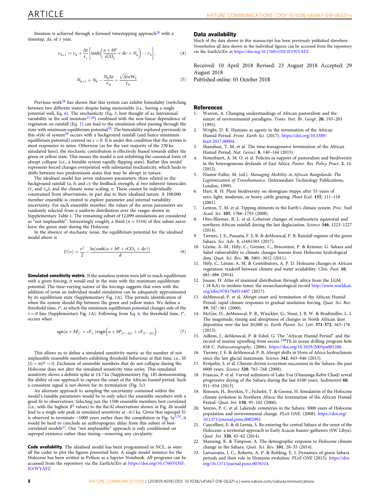<span id="page-7-0"></span>Iteration is achieved through a forward timestepping approach<sup>[28](#page-8-0)</sup> with a timestep,  $\Delta t$ , of 1 year.

$$
\nu_{k+1} = \nu_k + \frac{\Delta t}{\tau_\nu} \left[ \tanh \left( \frac{a + bP}{c\text{CO}_2} + \mathrm{d}\nu + N_k \right) - \nu_k \right],\tag{4}
$$

$$
N_{k+1} = N_k - \frac{N_k \Delta t}{\tau_N} + \frac{\sqrt{\Delta t} \sigma W_k}{\tau_N} \tag{5}
$$

Previous work $28$  has shown that this system can exhibit bimodality (switching between two different states) despite being monostable (i.e., having a single potential well, Eq. 6). The stochasticity (Eq. [3,](#page-6-0) best thought of as interannual variability in the soil moisture $^{27,28}$  $^{27,28}$  $^{27,28}$  $^{27,28}$  $^{27,28}$ ) combined with the non-linear dependence of vegetation on rainfall (Eq. [1](#page-6-0)) can lead to the simulation often passing through the state with minimum equilibrium potential $28$ . The bimodality explored previously in this style of system<sup>[28](#page-8-0)</sup> occurs with a background rainfall (and hence minimum equilibrium potential) centred on  $v = 0$ . It is under this condition that the system is most responsive to noise. Otherwise (as for the vast majority of the 230 ka simulated here), the stochastic contribution is effectively biased towards either the green or yellow state. This means the model is not exhibiting the canonical form of abrupt collapse (i.e., a bistable system rapidly flipping state). Rather this model represents forced changes overprinted with substantial stochasticity, which leads to shifts between two predominant states that may be abrupt in nature.

The idealised model has seven unknown parameters: three related to the background rainfall  $(a, b,$  and  $c)$ ; the feedback strength,  $d$ ; two inherent timescales ( $\tau_{\nu}$  and  $\tau_{N}$ ); and the climate noise scaling,  $\sigma$ . These cannot be individually constrained from observations, in part due to their idealised nature. A 100,000 member ensemble is created to explore parameter and internal variability uncertainty. For each ensemble member, the values of the seven parameters are randomly selected from a uniform distribution over the ranges shown in Supplementary Table 1. The remaining subset of 12,099 simulations are considered as "not implausible". Interestingly roughly a third ( $n = 3534$ ) of this subset never leave the green state during the Holocene.

In the absence of stochastic noise, the equilibrium potential for the idealised model above is

$$
U(\nu) = \frac{\nu^2}{2} - \frac{\ln(\cosh(a + bP + cCO_2 + d\nu))}{d}
$$
 (6)

Simulated sensitivity metric. If the noiseless system were left to reach equilibrium with a given forcing, it would end in the state with the minimum equilibrium potential. The time-varying nature of the forcings suggests that even with the addition of noise an individual model simulation can be adequately approximated by its equilibrium state (Supplementary Fig. 1A). This permits identification of when the system should flip between the green and yellow states. We define a threshold time, t <sup>∗</sup>, at which the minimum equilibrium potential changes side of the  $v = 0$  line (Supplementary Fig. 1A). Following from Eq. 6, the threshold time,  $t^*$ , occurs when

$$
sgn(a + bP_{t^*} + cF_{t^*}) \neq sgn(a + bP_{(t^* - \Delta t)} + cF_{(t^* - \Delta t)})
$$
\n(7)

This allows us to define a simulated sensitivity metric as the number of notimplausible ensemble members exhibiting threshold behaviour at that time, i.e., SS  $(t) = n(t^* = t)$ . Exclusion of ensemble members that do not collapse during the Holocene does not alter the simulated sensitivity time series. This simulated sensitivity shows a definite spike at 14.7 ka (Supplementary Fig. 1B) demonstrating the ability of our approach to capture the onset of the African humid period. Such a consistent signal is not shown for its termination (Fig. [5](#page-5-0)c).

An alternate approach to sampling the uncertainty contained within the model's tunable parameters would be to only select the ensemble members with a good fit to observations. Selecting just the 1500 ensemble members best correlated (i.e., with the highest  $R^2$  values) to the Ba/Al observations shown in Fig. [4](#page-4-0)b would lead to a single sole peak in simulated sensitivity at ~6.5 ka. Given that sapropel S1 is observed to terminate  $\sim$ 1000 years earlier than the compilation in Fig.  $5a^{3,24}$  $5a^{3,24}$  $5a^{3,24}$  $5a^{3,24}$ , it would be hard to conclude an anthropogenic delay from this subset of best-correlated models<sup>[57](#page-8-0)</sup>. Our "not implausible" approach is only conditioned on sapropel existence rather than timing—removing any circularity.

Code availability. The idealised model has been programmed in NCL, as were all the codes to plot the figures presented here. A single model instance for the Holocene has been written in Python as a Jupyter Notebook. All programs can be accessed from the repository via the EarthArXiv at [https://doi.org/10.17605/OSF.](https://doi.org/10.17605/OSF.IO/WYAFZ) [IO/WYAFZ](https://doi.org/10.17605/OSF.IO/WYAFZ).

#### Data availability

Much of the data shown in this manuscript has been previously published elsewhere. Nonetheless all data shown in the individual figures can be accessed from the repository via the EarthArXiv at [https://doi.org/10.17605/OSF.IO/WYAFZ.](https://doi.org/10.17605/OSF.IO/WYAFZ)

Received: 10 April 2018 Revised: 23 August 2018 Accepted: 29 August 2018<br>Published online: 01 October 2018

#### **References**

- 1. Warren, A. Changing understandings of African pastoralism and the nature of environmental paradigms. Trans. Inst. Br. Geogr. 20, 193–203 (1995).
- 2. Wright, D. K. Humans as agents in the termination of the African Humid Period. Front. Earth Sci. (2017). [https://doi.org/10.3389/](https://doi.org/10.3389/feart.2017.00004) [feart.2017.00004](https://doi.org/10.3389/feart.2017.00004).
- 3. Shanahan, T. M. et al. The time-transgressive termination of the African Humid Period. Nat. Geosci. 8, 140–144 (2015).
- 4. Notenbaert, A. M. O. et al. Policies in support of pastoralism and biodiversity in the heterogeneous drylands of East Africa. Pastor. Res. Policy Pract. 2, 14  $(2012)$
- 5. Niamir-Fuller, M. (ed.). Managing Mobility in African Rangelands: The Legitimization of Transhumance. (Intermediate Technology Publications, London, 1999).
- Hart, R. H. Plant biodiversity on shortgrass steppe after 55 years of zero, light, moderate, or heavy cattle grazing. Plant Ecol. 155, 111–118 (2001).
- 7. Lenton, T. M. et al. Tipping elements in the Earth's climate system. Proc. Natl Acad. Sci. 105, 1786–1793 (2008).
- 8. Otto-Bliesner, B. L. et al. Coherent changes of southeastern equatorial and northern African rainfall during the last deglaciation. Science 346, 1223–1227  $(2014)$
- 9. Tierney, J. E., Pausata, F. S. R. & deMenocal, P. B. Rainfall regimes of the green Sahara. Sci. Adv. 3, e1601503 (2017).
- 10. Lézine, A.-M., Hély, C., Grenier, C., Braconnot, P. & Krinner, G. Sahara and Sahel vulnerability to climate changes lessons from Holocene hydrological data. Quat. Sci. Rev. 30, 3001–3012 (2011).
- 11. Hély, C., Lézine, A. M. & Contributors, A. P. D. Holocene changes in African vegetation: tradeoff between climate and water availability. Clim. Past. 10, 681–686 (2014).
- 12. Jousse, H. Atlas of mammal distribution through africa from the LGM (˜18 KA) to modern times: the zooarchaeological record [http://www.worldcat.](http://www.worldcat.org/isbn/9781784915407) [org/isbn/9781784915407](http://www.worldcat.org/isbn/9781784915407) (2017).
- 13. deMenocal, P. et al. Abrupt onset and termination of the African Humid Period: rapid climate responses to gradual insolation forcing. Quat. Sci. Rev. 19, 347–361 (2000).
- 14. McGee, D., deMenocal, P. B., Winckler, G., Stuut, J. B. W. & Bradtmiller, L. I. The magnitude, timing and abruptness of changes in North African dust deposition over the last 20,000 yr. Earth Planet. Sci. Lett. 371-372, 163–176 (2013).
- 15. Adkins, J., deMenocal, P. & Eshel, G. The "African Humid Period" and the record of marine upwelling from excess <sup>230</sup>Th in ocean drilling program hole 658 C. Paleoceanography. (2006). <https://doi.org/10.1029/2005pa001200>.
- 16. Tierney, J. E. & deMenocal, P. B. Abrupt shifts in Horn of Africa hydroclimate since the last glacial maximum. Science 342, 843-846 (2013).
- 17. Kröpelin, S. et al. Climate-driven ecosystem succession in the Sahara: the past 6000 years. Science 320, 765–768 (2008).
- 18. Francus, P. et al. Varved sediments of Lake Yoa (Ounianga Kebir Chad) reveal progressive drying of the Sahara during the last 6100 years. Sedimentol 60, 911–934 (2013).
- 19. Renssen, H., Brovkin, V., Fichefet, T. & Goosse, H. Simulation of the Holocene climate evolution in Northern Africa: the termination of the African Humid Period. Quat. Int. 150, 95–102 (2006).
- 20. Sereno, P. C. et al. Lakeside cemeteries in the Sahara: 5000 years of Holocene population and environmental change. PLoS ONE. (2008). [https://doi.org/](https://doi.org/10.1371/journal.pone.0002995) [10.1371/journal.pone.0002995](https://doi.org/10.1371/journal.pone.0002995).
- 21. Cancellieri, E. & di Lernia, S. Re-entering the central Sahara at the onset of the Holocene: a territorial approach to Early Acacus hunter-gatherers (SW Libya). Quat. Int. 320, 43–62 (2014).
- 22. Manning, K. & Timpson, A. The demographic response to Holocene climate change in the Sahara. Quat. Sci. Rev. 101, 28–35 (2014).
- 23. Larrasoaña, J. C., Roberts, A. P. & Rohling, E. J. Dynamics of green Sahara periods and their role in Hominin evolution. PLoS ONE (2013). [https://doi.](https://doi.org/10.1371/journal.pone.0076514) [org/10.1371/journal.pone.0076514.](https://doi.org/10.1371/journal.pone.0076514)